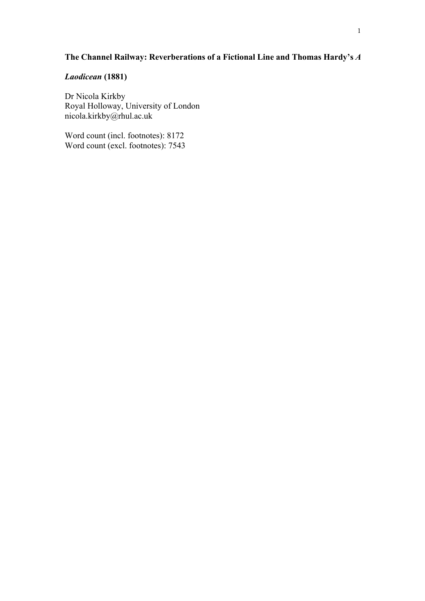# **The Channel Railway: Reverberations of a Fictional Line and Thomas Hardy's** *A*

*Laodicean* **(1881)**

Dr Nicola Kirkby Royal Holloway, University of London nicola.kirkby@rhul.ac.uk

Word count (incl. footnotes): 8172 Word count (excl. footnotes): 7543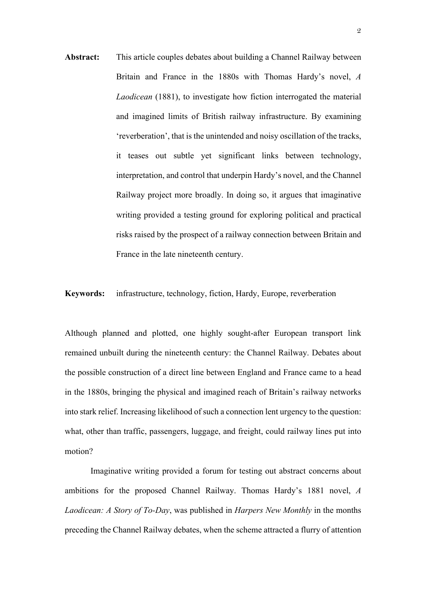**Abstract:** This article couples debates about building a Channel Railway between Britain and France in the 1880s with Thomas Hardy's novel, *A Laodicean* (1881), to investigate how fiction interrogated the material and imagined limits of British railway infrastructure. By examining 'reverberation', that is the unintended and noisy oscillation of the tracks, it teases out subtle yet significant links between technology, interpretation, and control that underpin Hardy's novel, and the Channel Railway project more broadly. In doing so, it argues that imaginative writing provided a testing ground for exploring political and practical risks raised by the prospect of a railway connection between Britain and France in the late nineteenth century.

## **Keywords:** infrastructure, technology, fiction, Hardy, Europe, reverberation

Although planned and plotted, one highly sought-after European transport link remained unbuilt during the nineteenth century: the Channel Railway. Debates about the possible construction of a direct line between England and France came to a head in the 1880s, bringing the physical and imagined reach of Britain's railway networks into stark relief. Increasing likelihood of such a connection lent urgency to the question: what, other than traffic, passengers, luggage, and freight, could railway lines put into motion?

Imaginative writing provided a forum for testing out abstract concerns about ambitions for the proposed Channel Railway. Thomas Hardy's 1881 novel, *A Laodicean: A Story of To-Day*, was published in *Harpers New Monthly* in the months preceding the Channel Railway debates, when the scheme attracted a flurry of attention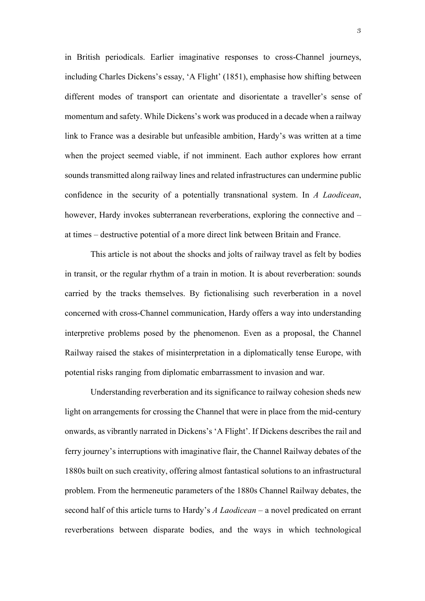in British periodicals. Earlier imaginative responses to cross-Channel journeys, including Charles Dickens's essay, 'A Flight' (1851), emphasise how shifting between different modes of transport can orientate and disorientate a traveller's sense of momentum and safety. While Dickens's work was produced in a decade when a railway link to France was a desirable but unfeasible ambition, Hardy's was written at a time when the project seemed viable, if not imminent. Each author explores how errant sounds transmitted along railway lines and related infrastructures can undermine public confidence in the security of a potentially transnational system. In *A Laodicean*, however, Hardy invokes subterranean reverberations, exploring the connective and – at times – destructive potential of a more direct link between Britain and France.

This article is not about the shocks and jolts of railway travel as felt by bodies in transit, or the regular rhythm of a train in motion. It is about reverberation: sounds carried by the tracks themselves. By fictionalising such reverberation in a novel concerned with cross-Channel communication, Hardy offers a way into understanding interpretive problems posed by the phenomenon. Even as a proposal, the Channel Railway raised the stakes of misinterpretation in a diplomatically tense Europe, with potential risks ranging from diplomatic embarrassment to invasion and war.

Understanding reverberation and its significance to railway cohesion sheds new light on arrangements for crossing the Channel that were in place from the mid-century onwards, as vibrantly narrated in Dickens's 'A Flight'. If Dickens describes the rail and ferry journey's interruptions with imaginative flair, the Channel Railway debates of the 1880s built on such creativity, offering almost fantastical solutions to an infrastructural problem. From the hermeneutic parameters of the 1880s Channel Railway debates, the second half of this article turns to Hardy's *A Laodicean –* a novel predicated on errant reverberations between disparate bodies, and the ways in which technological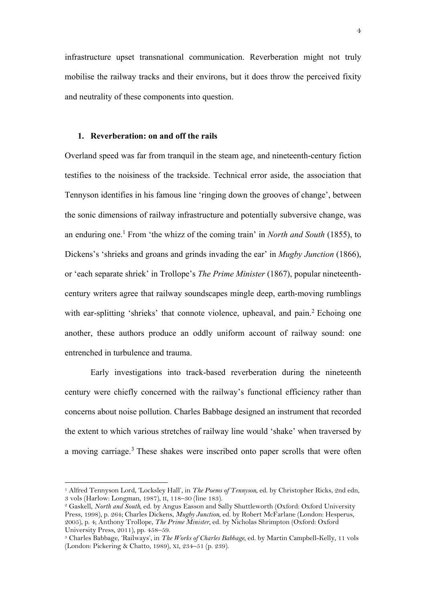infrastructure upset transnational communication. Reverberation might not truly mobilise the railway tracks and their environs, but it does throw the perceived fixity and neutrality of these components into question.

#### **1. Reverberation: on and off the rails**

Overland speed was far from tranquil in the steam age, and nineteenth-century fiction testifies to the noisiness of the trackside. Technical error aside, the association that Tennyson identifies in his famous line 'ringing down the grooves of change', between the sonic dimensions of railway infrastructure and potentially subversive change, was an enduring one.1 From 'the whizz of the coming train' in *North and South* (1855), to Dickens's 'shrieks and groans and grinds invading the ear' in *Mugby Junction* (1866), or 'each separate shriek' in Trollope's *The Prime Minister* (1867), popular nineteenthcentury writers agree that railway soundscapes mingle deep, earth-moving rumblings with ear-splitting 'shrieks' that connote violence, upheaval, and pain.<sup>2</sup> Echoing one another, these authors produce an oddly uniform account of railway sound: one entrenched in turbulence and trauma.

Early investigations into track-based reverberation during the nineteenth century were chiefly concerned with the railway's functional efficiency rather than concerns about noise pollution. Charles Babbage designed an instrument that recorded the extent to which various stretches of railway line would 'shake' when traversed by a moving carriage.<sup>3</sup> These shakes were inscribed onto paper scrolls that were often

<sup>1</sup> Alfred Tennyson Lord, 'Locksley Hall', in *The Poems of Tennyson*, ed. by Christopher Ricks, 2nd edn, 3 vols (Harlow: Longman, 1987), II, 118–30 (line 183).

<sup>2</sup> Gaskell, *North and South*, ed. by Angus Easson and Sally Shuttleworth (Oxford: Oxford University Press, 1998), p. 264; Charles Dickens, *Mugby Junction*, ed. by Robert McFarlane (London: Hesperus, 2005), p. 4; Anthony Trollope, *The Prime Minister*, ed. by Nicholas Shrimpton (Oxford: Oxford University Press, 2011), pp. 458–59.

<sup>3</sup> Charles Babbage, 'Railways', in *The Works of Charles Babbage*, ed. by Martin Campbell-Kelly, 11 vols (London: Pickering & Chatto, 1989), XI, 234–51 (p. 239).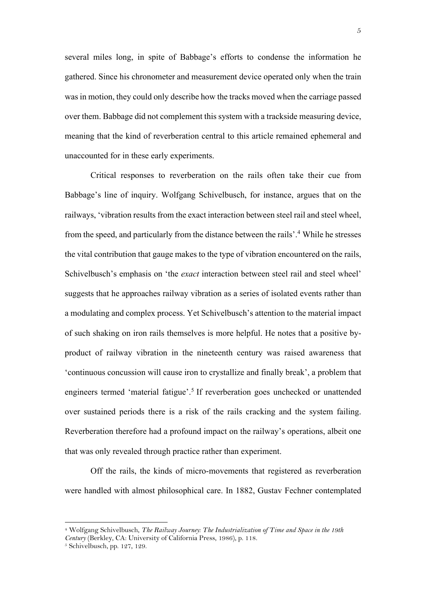several miles long, in spite of Babbage's efforts to condense the information he gathered. Since his chronometer and measurement device operated only when the train was in motion, they could only describe how the tracks moved when the carriage passed over them. Babbage did not complement this system with a trackside measuring device, meaning that the kind of reverberation central to this article remained ephemeral and unaccounted for in these early experiments.

Critical responses to reverberation on the rails often take their cue from Babbage's line of inquiry. Wolfgang Schivelbusch, for instance, argues that on the railways, 'vibration results from the exact interaction between steel rail and steel wheel, from the speed, and particularly from the distance between the rails'.4 While he stresses the vital contribution that gauge makes to the type of vibration encountered on the rails, Schivelbusch's emphasis on 'the *exact* interaction between steel rail and steel wheel' suggests that he approaches railway vibration as a series of isolated events rather than a modulating and complex process. Yet Schivelbusch's attention to the material impact of such shaking on iron rails themselves is more helpful. He notes that a positive byproduct of railway vibration in the nineteenth century was raised awareness that 'continuous concussion will cause iron to crystallize and finally break', a problem that engineers termed 'material fatigue'.<sup>5</sup> If reverberation goes unchecked or unattended over sustained periods there is a risk of the rails cracking and the system failing. Reverberation therefore had a profound impact on the railway's operations, albeit one that was only revealed through practice rather than experiment.

Off the rails, the kinds of micro-movements that registered as reverberation were handled with almost philosophical care. In 1882, Gustav Fechner contemplated

<sup>4</sup> Wolfgang Schivelbusch, *The Railway Journey: The Industrialization of Time and Space in the 19th* 

*Century* (Berkley, CA: University of California Press, 1986), p. 118.

 $5$  Schivelbusch, pp. 127, 129.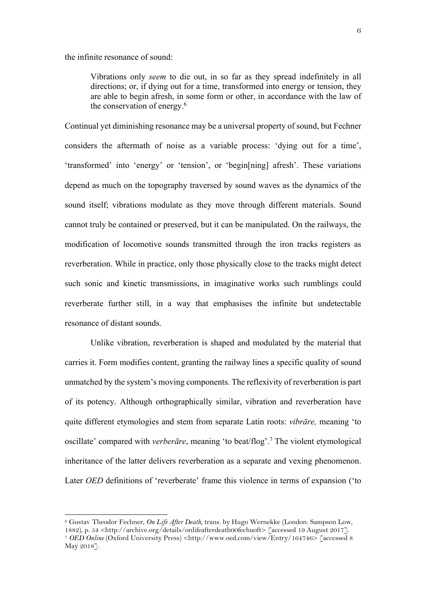the infinite resonance of sound:

Vibrations only *seem* to die out, in so far as they spread indefinitely in all directions; or, if dying out for a time, transformed into energy or tension, they are able to begin afresh, in some form or other, in accordance with the law of the conservation of energy.6

Continual yet diminishing resonance may be a universal property of sound, but Fechner considers the aftermath of noise as a variable process: 'dying out for a time', 'transformed' into 'energy' or 'tension', or 'begin[ning] afresh'. These variations depend as much on the topography traversed by sound waves as the dynamics of the sound itself; vibrations modulate as they move through different materials. Sound cannot truly be contained or preserved, but it can be manipulated. On the railways, the modification of locomotive sounds transmitted through the iron tracks registers as reverberation. While in practice, only those physically close to the tracks might detect such sonic and kinetic transmissions, in imaginative works such rumblings could reverberate further still, in a way that emphasises the infinite but undetectable resonance of distant sounds.

Unlike vibration, reverberation is shaped and modulated by the material that carries it. Form modifies content, granting the railway lines a specific quality of sound unmatched by the system's moving components. The reflexivity of reverberation is part of its potency. Although orthographically similar, vibration and reverberation have quite different etymologies and stem from separate Latin roots: *vibrāre,* meaning 'to oscillate' compared with *verberāre*, meaning 'to beat/flog'.7 The violent etymological inheritance of the latter delivers reverberation as a separate and vexing phenomenon. Later *OED* definitions of 'reverberate' frame this violence in terms of expansion ('to

<sup>6</sup> Gustav Theodor Fechner, *On Life After Death*, trans. by Hugo Wernekke (London: Sampson Low,

<sup>1882),</sup> p. 54 <http://archive.org/details/onlifeafterdeath00fechuoft> [accessed 19 August 2017]. <sup>7</sup> OED Online (Oxford University Press) <http://www.oed.com/view/Entry/164746> [accessed 8

May 2018].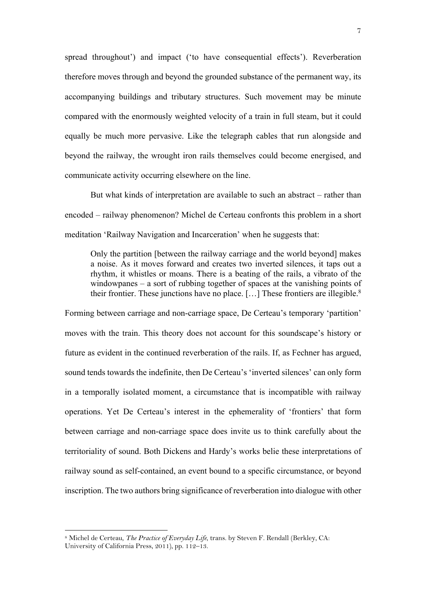spread throughout') and impact ('to have consequential effects'). Reverberation therefore moves through and beyond the grounded substance of the permanent way, its accompanying buildings and tributary structures. Such movement may be minute compared with the enormously weighted velocity of a train in full steam, but it could equally be much more pervasive. Like the telegraph cables that run alongside and beyond the railway, the wrought iron rails themselves could become energised, and communicate activity occurring elsewhere on the line.

But what kinds of interpretation are available to such an abstract – rather than encoded – railway phenomenon? Michel de Certeau confronts this problem in a short meditation 'Railway Navigation and Incarceration' when he suggests that:

Only the partition [between the railway carriage and the world beyond] makes a noise. As it moves forward and creates two inverted silences, it taps out a rhythm, it whistles or moans. There is a beating of the rails, a vibrato of the windowpanes – a sort of rubbing together of spaces at the vanishing points of their frontier. These junctions have no place.  $[\dots]$  These frontiers are illegible.<sup>8</sup>

Forming between carriage and non-carriage space, De Certeau's temporary 'partition' moves with the train. This theory does not account for this soundscape's history or future as evident in the continued reverberation of the rails. If, as Fechner has argued, sound tends towards the indefinite, then De Certeau's 'inverted silences' can only form in a temporally isolated moment, a circumstance that is incompatible with railway operations. Yet De Certeau's interest in the ephemerality of 'frontiers' that form between carriage and non-carriage space does invite us to think carefully about the territoriality of sound. Both Dickens and Hardy's works belie these interpretations of railway sound as self-contained, an event bound to a specific circumstance, or beyond inscription. The two authors bring significance of reverberation into dialogue with other

<sup>8</sup> Michel de Certeau, *The Practice of Everyday Life*, trans. by Steven F. Rendall (Berkley, CA: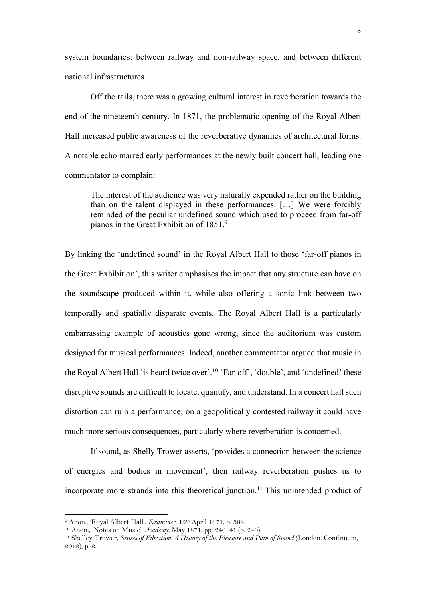system boundaries: between railway and non-railway space, and between different national infrastructures.

Off the rails, there was a growing cultural interest in reverberation towards the end of the nineteenth century. In 1871, the problematic opening of the Royal Albert Hall increased public awareness of the reverberative dynamics of architectural forms. A notable echo marred early performances at the newly built concert hall, leading one commentator to complain:

The interest of the audience was very naturally expended rather on the building than on the talent displayed in these performances. […] We were forcibly reminded of the peculiar undefined sound which used to proceed from far-off pianos in the Great Exhibition of 1851.9

By linking the 'undefined sound' in the Royal Albert Hall to those 'far-off pianos in the Great Exhibition', this writer emphasises the impact that any structure can have on the soundscape produced within it, while also offering a sonic link between two temporally and spatially disparate events. The Royal Albert Hall is a particularly embarrassing example of acoustics gone wrong, since the auditorium was custom designed for musical performances. Indeed, another commentator argued that music in the Royal Albert Hall 'is heard twice over'.10 'Far-off', 'double', and 'undefined' these disruptive sounds are difficult to locate, quantify, and understand. In a concert hall such distortion can ruin a performance; on a geopolitically contested railway it could have much more serious consequences, particularly where reverberation is concerned.

If sound, as Shelly Trower asserts, 'provides a connection between the science of energies and bodies in movement', then railway reverberation pushes us to incorporate more strands into this theoretical junction.<sup>11</sup> This unintended product of

<sup>9</sup> Anon., 'Royal Albert Hall', *Examiner*, 15th April 1871, p. 389.

<sup>10</sup> Anon., 'Notes on Music', *Academy*, May 1871, pp. 240–41 (p. 240).

<sup>11</sup> Shelley Trower, *Senses of Vibration: A History of the Pleasure and Pain of Sound* (London: Continuum, 2012), p. 2.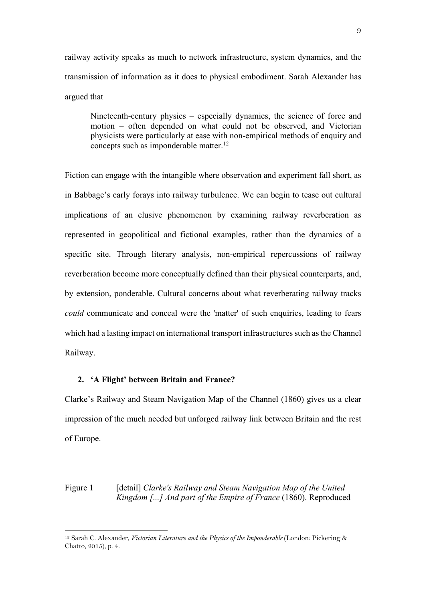railway activity speaks as much to network infrastructure, system dynamics, and the transmission of information as it does to physical embodiment. Sarah Alexander has argued that

Nineteenth-century physics – especially dynamics, the science of force and motion – often depended on what could not be observed, and Victorian physicists were particularly at ease with non-empirical methods of enquiry and concepts such as imponderable matter.<sup>12</sup>

Fiction can engage with the intangible where observation and experiment fall short, as in Babbage's early forays into railway turbulence. We can begin to tease out cultural implications of an elusive phenomenon by examining railway reverberation as represented in geopolitical and fictional examples, rather than the dynamics of a specific site. Through literary analysis, non-empirical repercussions of railway reverberation become more conceptually defined than their physical counterparts, and, by extension, ponderable. Cultural concerns about what reverberating railway tracks *could* communicate and conceal were the 'matter' of such enquiries, leading to fears which had a lasting impact on international transport infrastructures such as the Channel Railway.

## **2. 'A Flight' between Britain and France?**

Clarke's Railway and Steam Navigation Map of the Channel (1860) gives us a clear impression of the much needed but unforged railway link between Britain and the rest of Europe.

# Figure 1 [detail] *Clarke's Railway and Steam Navigation Map of the United Kingdom [...] And part of the Empire of France* (1860). Reproduced

<sup>12</sup> Sarah C. Alexander, *Victorian Literature and the Physics of the Imponderable* (London: Pickering & Chatto, 2015), p. 4.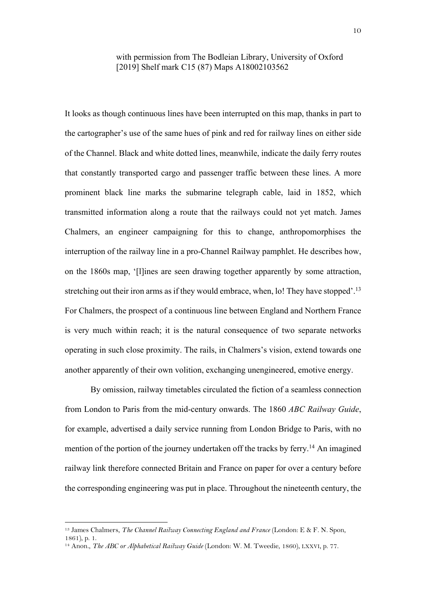with permission from The Bodleian Library, University of Oxford [2019] Shelf mark C15 (87) Maps A18002103562

It looks as though continuous lines have been interrupted on this map, thanks in part to the cartographer's use of the same hues of pink and red for railway lines on either side of the Channel. Black and white dotted lines, meanwhile, indicate the daily ferry routes that constantly transported cargo and passenger traffic between these lines. A more prominent black line marks the submarine telegraph cable, laid in 1852, which transmitted information along a route that the railways could not yet match. James Chalmers, an engineer campaigning for this to change, anthropomorphises the interruption of the railway line in a pro-Channel Railway pamphlet. He describes how, on the 1860s map, '[l]ines are seen drawing together apparently by some attraction, stretching out their iron arms as if they would embrace, when, lo! They have stopped'.<sup>13</sup> For Chalmers, the prospect of a continuous line between England and Northern France is very much within reach; it is the natural consequence of two separate networks operating in such close proximity. The rails, in Chalmers's vision, extend towards one another apparently of their own volition, exchanging unengineered, emotive energy.

By omission, railway timetables circulated the fiction of a seamless connection from London to Paris from the mid-century onwards. The 1860 *ABC Railway Guide*, for example, advertised a daily service running from London Bridge to Paris, with no mention of the portion of the journey undertaken off the tracks by ferry.<sup>14</sup> An imagined railway link therefore connected Britain and France on paper for over a century before the corresponding engineering was put in place. Throughout the nineteenth century, the

<sup>13</sup> James Chalmers, *The Channel Railway Connecting England and France* (London: E & F. N. Spon, 1861), p. 1.

<sup>14</sup> Anon., *The ABC or Alphabetical Railway Guide* (London: W. M. Tweedie, 1860), LXXVI, p. 77.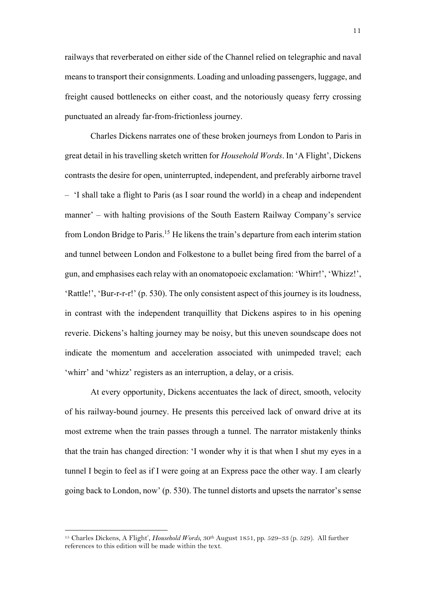railways that reverberated on either side of the Channel relied on telegraphic and naval means to transport their consignments. Loading and unloading passengers, luggage, and freight caused bottlenecks on either coast, and the notoriously queasy ferry crossing punctuated an already far-from-frictionless journey.

Charles Dickens narrates one of these broken journeys from London to Paris in great detail in his travelling sketch written for *Household Words*. In 'A Flight', Dickens contrasts the desire for open, uninterrupted, independent, and preferably airborne travel – 'I shall take a flight to Paris (as I soar round the world) in a cheap and independent manner' – with halting provisions of the South Eastern Railway Company's service from London Bridge to Paris.15 He likens the train's departure from each interim station and tunnel between London and Folkestone to a bullet being fired from the barrel of a gun, and emphasises each relay with an onomatopoeic exclamation: 'Whirr!', 'Whizz!', 'Rattle!', 'Bur-r-r-r!' (p. 530). The only consistent aspect of this journey is its loudness, in contrast with the independent tranquillity that Dickens aspires to in his opening reverie. Dickens's halting journey may be noisy, but this uneven soundscape does not indicate the momentum and acceleration associated with unimpeded travel; each 'whirr' and 'whizz' registers as an interruption, a delay, or a crisis.

At every opportunity, Dickens accentuates the lack of direct, smooth, velocity of his railway-bound journey. He presents this perceived lack of onward drive at its most extreme when the train passes through a tunnel. The narrator mistakenly thinks that the train has changed direction: 'I wonder why it is that when I shut my eyes in a tunnel I begin to feel as if I were going at an Express pace the other way. I am clearly going back to London, now' (p. 530). The tunnel distorts and upsets the narrator's sense

<sup>15</sup> Charles Dickens, A Flight', *Household Words*, 30th August 1851, pp. 529–33 (p. 529). All further references to this edition will be made within the text.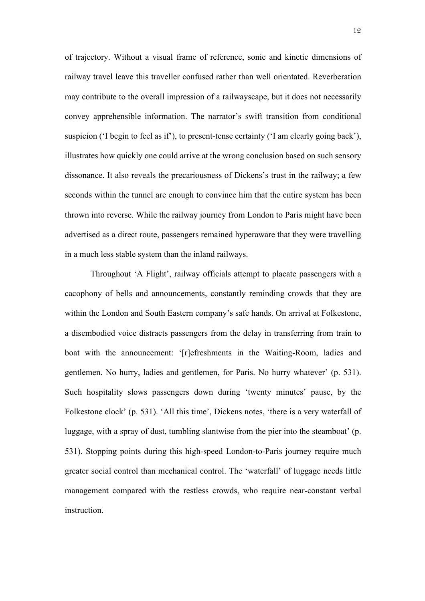of trajectory. Without a visual frame of reference, sonic and kinetic dimensions of railway travel leave this traveller confused rather than well orientated. Reverberation may contribute to the overall impression of a railwayscape, but it does not necessarily convey apprehensible information. The narrator's swift transition from conditional suspicion ('I begin to feel as if'), to present-tense certainty ('I am clearly going back'), illustrates how quickly one could arrive at the wrong conclusion based on such sensory dissonance. It also reveals the precariousness of Dickens's trust in the railway; a few seconds within the tunnel are enough to convince him that the entire system has been thrown into reverse. While the railway journey from London to Paris might have been advertised as a direct route, passengers remained hyperaware that they were travelling in a much less stable system than the inland railways.

Throughout 'A Flight', railway officials attempt to placate passengers with a cacophony of bells and announcements, constantly reminding crowds that they are within the London and South Eastern company's safe hands. On arrival at Folkestone, a disembodied voice distracts passengers from the delay in transferring from train to boat with the announcement: '[r]efreshments in the Waiting-Room, ladies and gentlemen. No hurry, ladies and gentlemen, for Paris. No hurry whatever' (p. 531). Such hospitality slows passengers down during 'twenty minutes' pause, by the Folkestone clock' (p. 531). 'All this time', Dickens notes, 'there is a very waterfall of luggage, with a spray of dust, tumbling slantwise from the pier into the steamboat' (p. 531). Stopping points during this high-speed London-to-Paris journey require much greater social control than mechanical control. The 'waterfall' of luggage needs little management compared with the restless crowds, who require near-constant verbal instruction.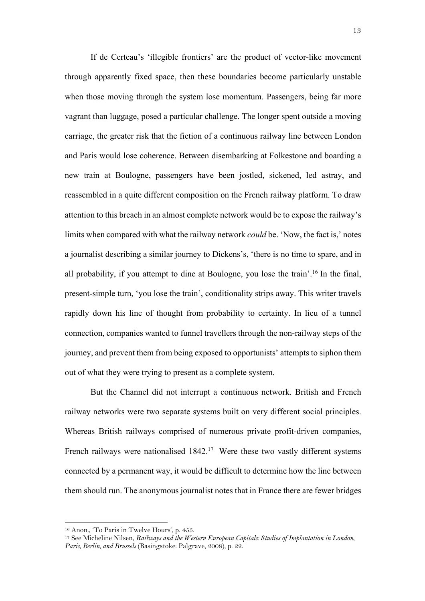If de Certeau's 'illegible frontiers' are the product of vector-like movement through apparently fixed space, then these boundaries become particularly unstable when those moving through the system lose momentum. Passengers, being far more vagrant than luggage, posed a particular challenge. The longer spent outside a moving carriage, the greater risk that the fiction of a continuous railway line between London and Paris would lose coherence. Between disembarking at Folkestone and boarding a new train at Boulogne, passengers have been jostled, sickened, led astray, and reassembled in a quite different composition on the French railway platform. To draw attention to this breach in an almost complete network would be to expose the railway's limits when compared with what the railway network *could* be. 'Now, the fact is,' notes a journalist describing a similar journey to Dickens's, 'there is no time to spare, and in all probability, if you attempt to dine at Boulogne, you lose the train'.<sup>16</sup> In the final, present-simple turn, 'you lose the train', conditionality strips away. This writer travels rapidly down his line of thought from probability to certainty. In lieu of a tunnel connection, companies wanted to funnel travellers through the non-railway steps of the journey, and prevent them from being exposed to opportunists' attempts to siphon them out of what they were trying to present as a complete system.

But the Channel did not interrupt a continuous network. British and French railway networks were two separate systems built on very different social principles. Whereas British railways comprised of numerous private profit-driven companies, French railways were nationalised  $1842<sup>17</sup>$  Were these two vastly different systems connected by a permanent way, it would be difficult to determine how the line between them should run. The anonymous journalist notes that in France there are fewer bridges

<sup>16</sup> Anon., 'To Paris in Twelve Hours', p. 455.

<sup>17</sup> See Micheline Nilsen, *Railways and the Western European Capitals: Studies of Implantation in London, Paris, Berlin, and Brussels* (Basingstoke: Palgrave, 2008), p. 22.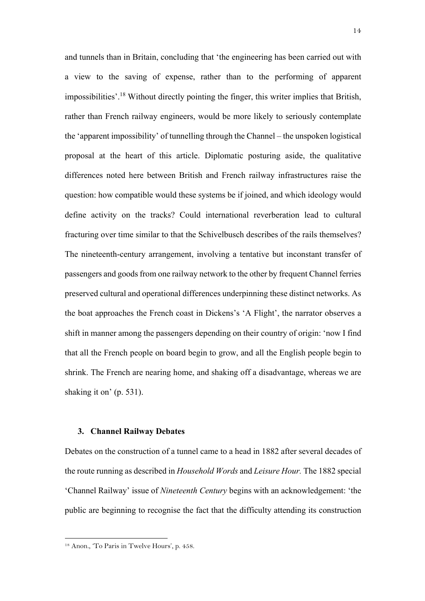and tunnels than in Britain, concluding that 'the engineering has been carried out with a view to the saving of expense, rather than to the performing of apparent impossibilities'.18 Without directly pointing the finger, this writer implies that British, rather than French railway engineers, would be more likely to seriously contemplate the 'apparent impossibility' of tunnelling through the Channel – the unspoken logistical proposal at the heart of this article. Diplomatic posturing aside, the qualitative differences noted here between British and French railway infrastructures raise the question: how compatible would these systems be if joined, and which ideology would define activity on the tracks? Could international reverberation lead to cultural fracturing over time similar to that the Schivelbusch describes of the rails themselves? The nineteenth-century arrangement, involving a tentative but inconstant transfer of passengers and goods from one railway network to the other by frequent Channel ferries preserved cultural and operational differences underpinning these distinct networks. As the boat approaches the French coast in Dickens's 'A Flight', the narrator observes a shift in manner among the passengers depending on their country of origin: 'now I find that all the French people on board begin to grow, and all the English people begin to shrink. The French are nearing home, and shaking off a disadvantage, whereas we are shaking it on' (p. 531).

#### **3. Channel Railway Debates**

Debates on the construction of a tunnel came to a head in 1882 after several decades of the route running as described in *Household Words* and *Leisure Hour.* The 1882 special 'Channel Railway' issue of *Nineteenth Century* begins with an acknowledgement: 'the public are beginning to recognise the fact that the difficulty attending its construction

<sup>18</sup> Anon., 'To Paris in Twelve Hours', p. 458.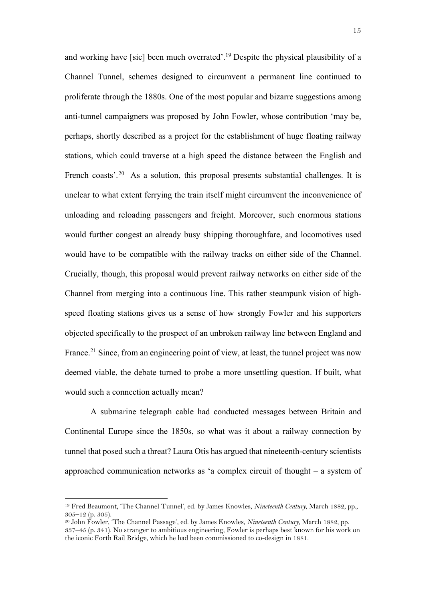and working have [sic] been much overrated'.19 Despite the physical plausibility of a Channel Tunnel, schemes designed to circumvent a permanent line continued to proliferate through the 1880s. One of the most popular and bizarre suggestions among anti-tunnel campaigners was proposed by John Fowler, whose contribution 'may be, perhaps, shortly described as a project for the establishment of huge floating railway stations, which could traverse at a high speed the distance between the English and French coasts'.<sup>20</sup> As a solution, this proposal presents substantial challenges. It is unclear to what extent ferrying the train itself might circumvent the inconvenience of unloading and reloading passengers and freight. Moreover, such enormous stations would further congest an already busy shipping thoroughfare, and locomotives used would have to be compatible with the railway tracks on either side of the Channel. Crucially, though, this proposal would prevent railway networks on either side of the Channel from merging into a continuous line. This rather steampunk vision of highspeed floating stations gives us a sense of how strongly Fowler and his supporters objected specifically to the prospect of an unbroken railway line between England and France.<sup>21</sup> Since, from an engineering point of view, at least, the tunnel project was now deemed viable, the debate turned to probe a more unsettling question. If built, what would such a connection actually mean?

A submarine telegraph cable had conducted messages between Britain and Continental Europe since the 1850s, so what was it about a railway connection by tunnel that posed such a threat? Laura Otis has argued that nineteenth-century scientists approached communication networks as 'a complex circuit of thought – a system of

<sup>19</sup> Fred Beaumont, 'The Channel Tunnel', ed. by James Knowles, *Nineteenth Century*, March 1882, pp., 305–12 (p. 305).

<sup>20</sup> John Fowler, 'The Channel Passage', ed. by James Knowles, *Nineteenth Century*, March 1882, pp. 337–45 (p. 341). No stranger to ambitious engineering, Fowler is perhaps best known for his work on the iconic Forth Rail Bridge, which he had been commissioned to co-design in 1881.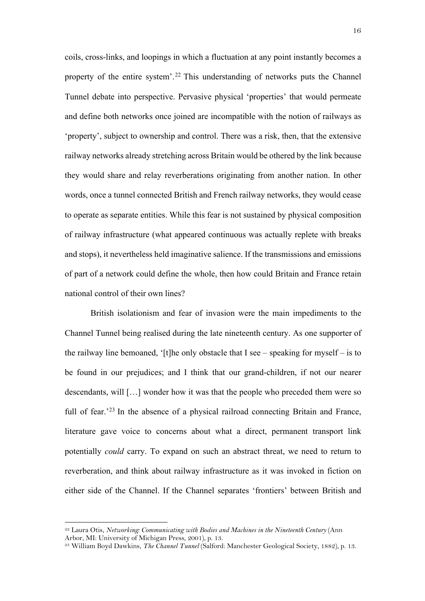coils, cross-links, and loopings in which a fluctuation at any point instantly becomes a property of the entire system'.22 This understanding of networks puts the Channel Tunnel debate into perspective. Pervasive physical 'properties' that would permeate and define both networks once joined are incompatible with the notion of railways as 'property', subject to ownership and control. There was a risk, then, that the extensive railway networks already stretching across Britain would be othered by the link because they would share and relay reverberations originating from another nation. In other words, once a tunnel connected British and French railway networks, they would cease to operate as separate entities. While this fear is not sustained by physical composition of railway infrastructure (what appeared continuous was actually replete with breaks and stops), it nevertheless held imaginative salience. If the transmissions and emissions of part of a network could define the whole, then how could Britain and France retain national control of their own lines?

British isolationism and fear of invasion were the main impediments to the Channel Tunnel being realised during the late nineteenth century. As one supporter of the railway line bemoaned, '[t]he only obstacle that I see – speaking for myself – is to be found in our prejudices; and I think that our grand-children, if not our nearer descendants, will […] wonder how it was that the people who preceded them were so full of fear.<sup>'23</sup> In the absence of a physical railroad connecting Britain and France, literature gave voice to concerns about what a direct, permanent transport link potentially *could* carry. To expand on such an abstract threat, we need to return to reverberation, and think about railway infrastructure as it was invoked in fiction on either side of the Channel. If the Channel separates 'frontiers' between British and

<sup>&</sup>lt;sup>22</sup> Laura Otis, *Networking: Communicating with Bodies and Machines in the Nineteenth Century* (Ann

Arbor, MI: University of Michigan Press, 2001), p. 13.

<sup>23</sup> William Boyd Dawkins, *The Channel Tunnel* (Salford: Manchester Geological Society, 1882), p. 13.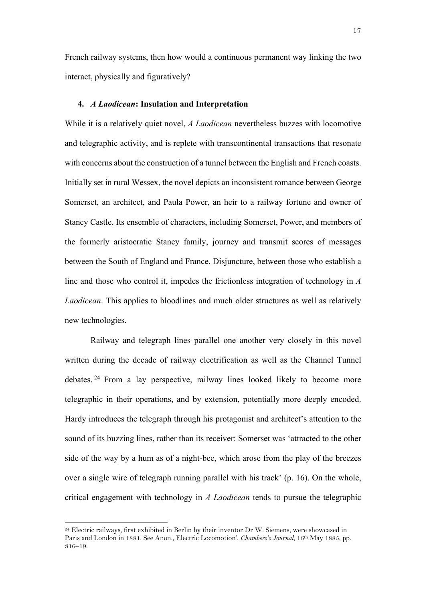French railway systems, then how would a continuous permanent way linking the two interact, physically and figuratively?

## **4.** *A Laodicean***: Insulation and Interpretation**

While it is a relatively quiet novel, *A Laodicean* nevertheless buzzes with locomotive and telegraphic activity, and is replete with transcontinental transactions that resonate with concerns about the construction of a tunnel between the English and French coasts. Initially set in rural Wessex, the novel depicts an inconsistent romance between George Somerset, an architect, and Paula Power, an heir to a railway fortune and owner of Stancy Castle. Its ensemble of characters, including Somerset, Power, and members of the formerly aristocratic Stancy family, journey and transmit scores of messages between the South of England and France. Disjuncture, between those who establish a line and those who control it, impedes the frictionless integration of technology in *A Laodicean*. This applies to bloodlines and much older structures as well as relatively new technologies.

Railway and telegraph lines parallel one another very closely in this novel written during the decade of railway electrification as well as the Channel Tunnel debates. <sup>24</sup> From a lay perspective, railway lines looked likely to become more telegraphic in their operations, and by extension, potentially more deeply encoded. Hardy introduces the telegraph through his protagonist and architect's attention to the sound of its buzzing lines, rather than its receiver: Somerset was 'attracted to the other side of the way by a hum as of a night-bee, which arose from the play of the breezes over a single wire of telegraph running parallel with his track' (p. 16). On the whole, critical engagement with technology in *A Laodicean* tends to pursue the telegraphic

<sup>24</sup> Electric railways, first exhibited in Berlin by their inventor Dr W. Siemens, were showcased in Paris and London in 1881. See Anon., Electric Locomotion', *Chambers's Journal*, 16th May 1885, pp. 316–19.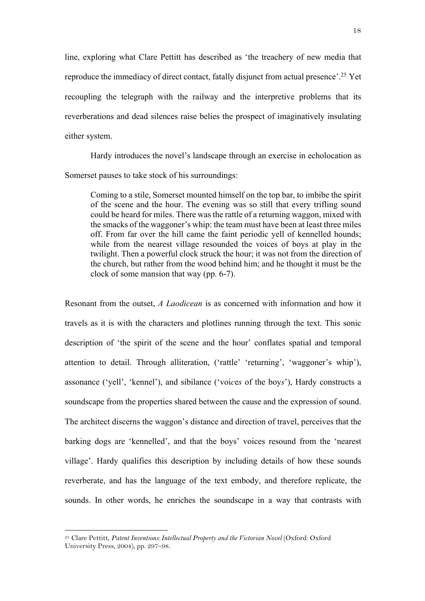line, exploring what Clare Pettitt has described as 'the treachery of new media that reproduce the immediacy of direct contact, fatally disjunct from actual presence'.25 Yet recoupling the telegraph with the railway and the interpretive problems that its reverberations and dead silences raise belies the prospect of imaginatively insulating either system.

Hardy introduces the novel's landscape through an exercise in echolocation as Somerset pauses to take stock of his surroundings:

Coming to a stile, Somerset mounted himself on the top bar, to imbibe the spirit of the scene and the hour. The evening was so still that every trifling sound could be heard for miles. There was the rattle of a returning waggon, mixed with the smacks of the waggoner's whip: the team must have been at least three miles off. From far over the hill came the faint periodic yell of kennelled hounds; while from the nearest village resounded the voices of boys at play in the twilight. Then a powerful clock struck the hour; it was not from the direction of the church, but rather from the wood behind him; and he thought it must be the clock of some mansion that way (pp. 6-7).

Resonant from the outset, *A Laodicean* is as concerned with information and how it travels as it is with the characters and plotlines running through the text. This sonic description of 'the spirit of the scene and the hour' conflates spatial and temporal attention to detail. Through alliteration, ('rattle' 'returning', 'waggoner's whip'), assonance ('yell', 'kennel'), and sibilance ('voi*c*e*s* of the boy*s*'), Hardy constructs a soundscape from the properties shared between the cause and the expression of sound. The architect discerns the waggon's distance and direction of travel, perceives that the barking dogs are 'kennelled', and that the boys' voices resound from the 'nearest village'. Hardy qualifies this description by including details of how these sounds reverberate, and has the language of the text embody, and therefore replicate, the sounds. In other words, he enriches the soundscape in a way that contrasts with

<sup>25</sup> Clare Pettitt, *Patent Inventions: Intellectual Property and the Victorian Novel* (Oxford: Oxford University Press, 2004), pp. 297–98.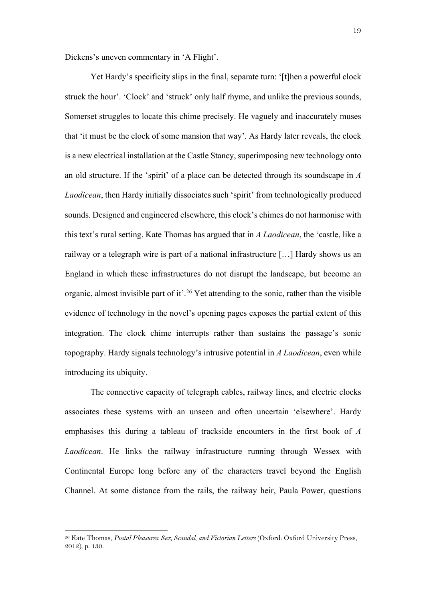Dickens's uneven commentary in 'A Flight'.

Yet Hardy's specificity slips in the final, separate turn: '[t]hen a powerful clock struck the hour'. 'Clock' and 'struck' only half rhyme, and unlike the previous sounds, Somerset struggles to locate this chime precisely. He vaguely and inaccurately muses that 'it must be the clock of some mansion that way'. As Hardy later reveals, the clock is a new electrical installation at the Castle Stancy, superimposing new technology onto an old structure. If the 'spirit' of a place can be detected through its soundscape in *A Laodicean*, then Hardy initially dissociates such 'spirit' from technologically produced sounds. Designed and engineered elsewhere, this clock's chimes do not harmonise with this text's rural setting. Kate Thomas has argued that in *A Laodicean*, the 'castle, like a railway or a telegraph wire is part of a national infrastructure […] Hardy shows us an England in which these infrastructures do not disrupt the landscape, but become an organic, almost invisible part of it'.<sup>26</sup> Yet attending to the sonic, rather than the visible evidence of technology in the novel's opening pages exposes the partial extent of this integration. The clock chime interrupts rather than sustains the passage's sonic topography. Hardy signals technology's intrusive potential in *A Laodicean*, even while introducing its ubiquity.

The connective capacity of telegraph cables, railway lines, and electric clocks associates these systems with an unseen and often uncertain 'elsewhere'. Hardy emphasises this during a tableau of trackside encounters in the first book of *A Laodicean*. He links the railway infrastructure running through Wessex with Continental Europe long before any of the characters travel beyond the English Channel. At some distance from the rails, the railway heir, Paula Power, questions

<sup>26</sup> Kate Thomas, *Postal Pleasures: Sex, Scandal, and Victorian Letters* (Oxford: Oxford University Press, 2012), p. 130.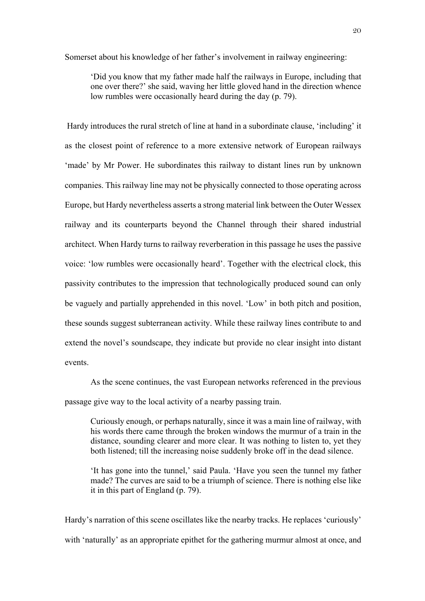Somerset about his knowledge of her father's involvement in railway engineering:

'Did you know that my father made half the railways in Europe, including that one over there?' she said, waving her little gloved hand in the direction whence low rumbles were occasionally heard during the day (p. 79).

Hardy introduces the rural stretch of line at hand in a subordinate clause, 'including' it as the closest point of reference to a more extensive network of European railways 'made' by Mr Power. He subordinates this railway to distant lines run by unknown companies. This railway line may not be physically connected to those operating across Europe, but Hardy nevertheless asserts a strong material link between the Outer Wessex railway and its counterparts beyond the Channel through their shared industrial architect. When Hardy turns to railway reverberation in this passage he uses the passive voice: 'low rumbles were occasionally heard'. Together with the electrical clock, this passivity contributes to the impression that technologically produced sound can only be vaguely and partially apprehended in this novel. 'Low' in both pitch and position, these sounds suggest subterranean activity. While these railway lines contribute to and extend the novel's soundscape, they indicate but provide no clear insight into distant events.

As the scene continues, the vast European networks referenced in the previous passage give way to the local activity of a nearby passing train.

Curiously enough, or perhaps naturally, since it was a main line of railway, with his words there came through the broken windows the murmur of a train in the distance, sounding clearer and more clear. It was nothing to listen to, yet they both listened; till the increasing noise suddenly broke off in the dead silence.

'It has gone into the tunnel,' said Paula. 'Have you seen the tunnel my father made? The curves are said to be a triumph of science. There is nothing else like it in this part of England (p. 79).

Hardy's narration of this scene oscillates like the nearby tracks. He replaces 'curiously' with 'naturally' as an appropriate epithet for the gathering murmur almost at once, and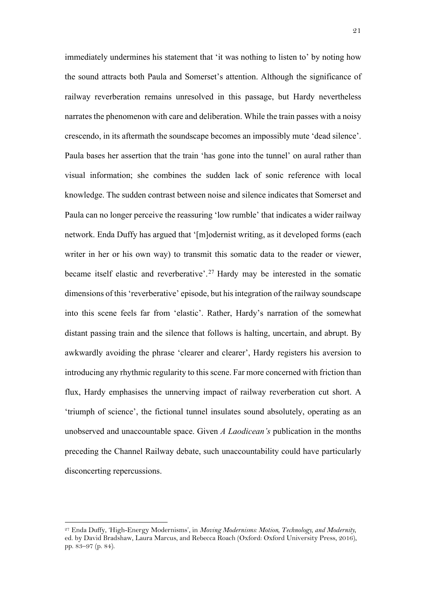immediately undermines his statement that 'it was nothing to listen to' by noting how the sound attracts both Paula and Somerset's attention. Although the significance of railway reverberation remains unresolved in this passage, but Hardy nevertheless narrates the phenomenon with care and deliberation. While the train passes with a noisy crescendo, in its aftermath the soundscape becomes an impossibly mute 'dead silence'. Paula bases her assertion that the train 'has gone into the tunnel' on aural rather than visual information; she combines the sudden lack of sonic reference with local knowledge. The sudden contrast between noise and silence indicates that Somerset and Paula can no longer perceive the reassuring 'low rumble' that indicates a wider railway network. Enda Duffy has argued that '[m]odernist writing, as it developed forms (each writer in her or his own way) to transmit this somatic data to the reader or viewer, became itself elastic and reverberative'.<sup>27</sup> Hardy may be interested in the somatic dimensions of this 'reverberative' episode, but his integration of the railway soundscape into this scene feels far from 'elastic'. Rather, Hardy's narration of the somewhat distant passing train and the silence that follows is halting, uncertain, and abrupt. By awkwardly avoiding the phrase 'clearer and clearer', Hardy registers his aversion to introducing any rhythmic regularity to this scene. Far more concerned with friction than flux, Hardy emphasises the unnerving impact of railway reverberation cut short. A 'triumph of science', the fictional tunnel insulates sound absolutely, operating as an unobserved and unaccountable space. Given *A Laodicean's* publication in the months preceding the Channel Railway debate, such unaccountability could have particularly disconcerting repercussions.

<sup>27</sup> Enda Duffy, 'High-Energy Modernisms', in *Moving Modernisms: Motion, Technology, and Modernity*, ed. by David Bradshaw, Laura Marcus, and Rebecca Roach (Oxford: Oxford University Press, 2016), pp. 83–97 (p. 84).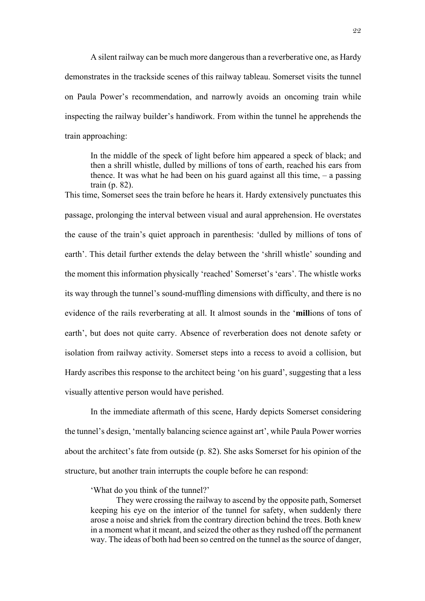A silent railway can be much more dangerous than a reverberative one, as Hardy demonstrates in the trackside scenes of this railway tableau. Somerset visits the tunnel on Paula Power's recommendation, and narrowly avoids an oncoming train while inspecting the railway builder's handiwork. From within the tunnel he apprehends the train approaching:

In the middle of the speck of light before him appeared a speck of black; and then a shrill whistle, dulled by millions of tons of earth, reached his ears from thence. It was what he had been on his guard against all this time, – a passing train (p. 82).

This time, Somerset sees the train before he hears it. Hardy extensively punctuates this passage, prolonging the interval between visual and aural apprehension. He overstates the cause of the train's quiet approach in parenthesis: 'dulled by millions of tons of earth'. This detail further extends the delay between the 'shrill whistle' sounding and the moment this information physically 'reached' Somerset's 'ears'. The whistle works its way through the tunnel's sound-muffling dimensions with difficulty, and there is no evidence of the rails reverberating at all. It almost sounds in the '**mill**ions of tons of earth', but does not quite carry. Absence of reverberation does not denote safety or isolation from railway activity. Somerset steps into a recess to avoid a collision, but Hardy ascribes this response to the architect being 'on his guard', suggesting that a less visually attentive person would have perished.

In the immediate aftermath of this scene, Hardy depicts Somerset considering the tunnel's design, 'mentally balancing science against art', while Paula Power worries about the architect's fate from outside (p. 82). She asks Somerset for his opinion of the structure, but another train interrupts the couple before he can respond:

'What do you think of the tunnel?'

They were crossing the railway to ascend by the opposite path, Somerset keeping his eye on the interior of the tunnel for safety, when suddenly there arose a noise and shriek from the contrary direction behind the trees. Both knew in a moment what it meant, and seized the other as they rushed off the permanent way. The ideas of both had been so centred on the tunnel as the source of danger,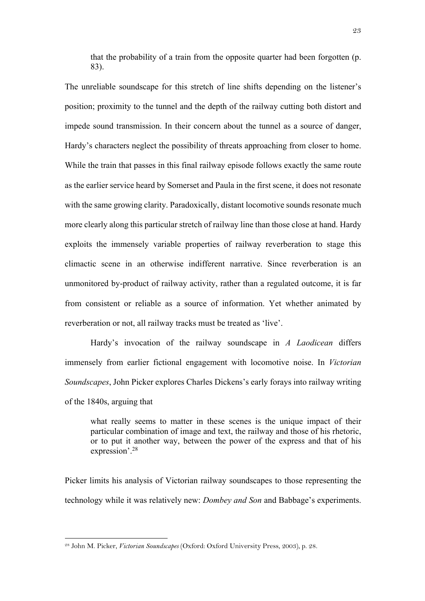that the probability of a train from the opposite quarter had been forgotten (p. 83).

The unreliable soundscape for this stretch of line shifts depending on the listener's position; proximity to the tunnel and the depth of the railway cutting both distort and impede sound transmission. In their concern about the tunnel as a source of danger, Hardy's characters neglect the possibility of threats approaching from closer to home. While the train that passes in this final railway episode follows exactly the same route as the earlier service heard by Somerset and Paula in the first scene, it does not resonate with the same growing clarity. Paradoxically, distant locomotive sounds resonate much more clearly along this particular stretch of railway line than those close at hand. Hardy exploits the immensely variable properties of railway reverberation to stage this climactic scene in an otherwise indifferent narrative. Since reverberation is an unmonitored by-product of railway activity, rather than a regulated outcome, it is far from consistent or reliable as a source of information. Yet whether animated by reverberation or not, all railway tracks must be treated as 'live'.

Hardy's invocation of the railway soundscape in *A Laodicean* differs immensely from earlier fictional engagement with locomotive noise. In *Victorian Soundscapes*, John Picker explores Charles Dickens's early forays into railway writing of the 1840s, arguing that

what really seems to matter in these scenes is the unique impact of their particular combination of image and text, the railway and those of his rhetoric, or to put it another way, between the power of the express and that of his expression'.28

Picker limits his analysis of Victorian railway soundscapes to those representing the technology while it was relatively new: *Dombey and Son* and Babbage's experiments.

<sup>28</sup> John M. Picker, *Victorian Soundscapes* (Oxford: Oxford University Press, 2003), p. 28.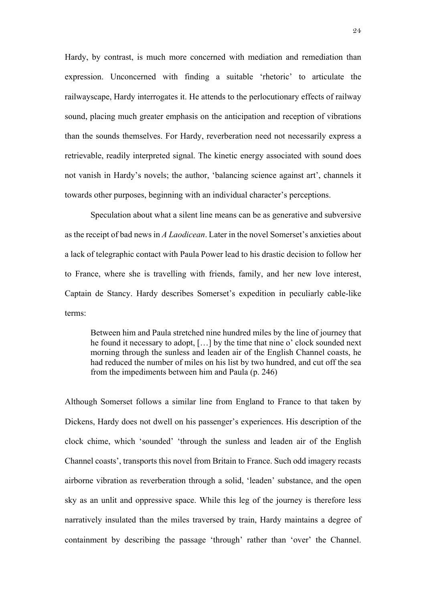Hardy, by contrast, is much more concerned with mediation and remediation than expression. Unconcerned with finding a suitable 'rhetoric' to articulate the railwayscape, Hardy interrogates it. He attends to the perlocutionary effects of railway sound, placing much greater emphasis on the anticipation and reception of vibrations than the sounds themselves. For Hardy, reverberation need not necessarily express a retrievable, readily interpreted signal. The kinetic energy associated with sound does not vanish in Hardy's novels; the author, 'balancing science against art', channels it towards other purposes, beginning with an individual character's perceptions.

Speculation about what a silent line means can be as generative and subversive as the receipt of bad news in *A Laodicean*. Later in the novel Somerset's anxieties about a lack of telegraphic contact with Paula Power lead to his drastic decision to follow her to France, where she is travelling with friends, family, and her new love interest, Captain de Stancy. Hardy describes Somerset's expedition in peculiarly cable-like terms:

Between him and Paula stretched nine hundred miles by the line of journey that he found it necessary to adopt, […] by the time that nine o' clock sounded next morning through the sunless and leaden air of the English Channel coasts, he had reduced the number of miles on his list by two hundred, and cut off the sea from the impediments between him and Paula (p. 246)

Although Somerset follows a similar line from England to France to that taken by Dickens, Hardy does not dwell on his passenger's experiences. His description of the clock chime, which 'sounded' 'through the sunless and leaden air of the English Channel coasts', transports this novel from Britain to France. Such odd imagery recasts airborne vibration as reverberation through a solid, 'leaden' substance, and the open sky as an unlit and oppressive space. While this leg of the journey is therefore less narratively insulated than the miles traversed by train, Hardy maintains a degree of containment by describing the passage 'through' rather than 'over' the Channel.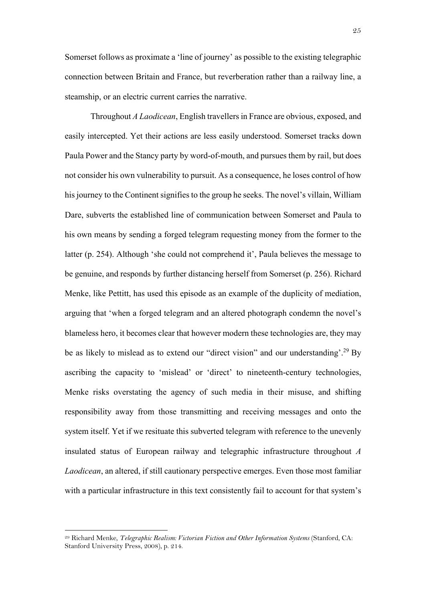Somerset follows as proximate a 'line of journey' as possible to the existing telegraphic connection between Britain and France, but reverberation rather than a railway line, a steamship, or an electric current carries the narrative.

Throughout *A Laodicean*, English travellers in France are obvious, exposed, and easily intercepted. Yet their actions are less easily understood. Somerset tracks down Paula Power and the Stancy party by word-of-mouth, and pursues them by rail, but does not consider his own vulnerability to pursuit. As a consequence, he loses control of how his journey to the Continent signifies to the group he seeks. The novel's villain, William Dare, subverts the established line of communication between Somerset and Paula to his own means by sending a forged telegram requesting money from the former to the latter (p. 254). Although 'she could not comprehend it', Paula believes the message to be genuine, and responds by further distancing herself from Somerset (p. 256). Richard Menke, like Pettitt, has used this episode as an example of the duplicity of mediation, arguing that 'when a forged telegram and an altered photograph condemn the novel's blameless hero, it becomes clear that however modern these technologies are, they may be as likely to mislead as to extend our "direct vision" and our understanding'.<sup>29</sup> By ascribing the capacity to 'mislead' or 'direct' to nineteenth-century technologies, Menke risks overstating the agency of such media in their misuse, and shifting responsibility away from those transmitting and receiving messages and onto the system itself. Yet if we resituate this subverted telegram with reference to the unevenly insulated status of European railway and telegraphic infrastructure throughout *A Laodicean*, an altered, if still cautionary perspective emerges. Even those most familiar with a particular infrastructure in this text consistently fail to account for that system's

<sup>29</sup> Richard Menke, *Telegraphic Realism: Victorian Fiction and Other Information Systems* (Stanford, CA: Stanford University Press, 2008), p. 214.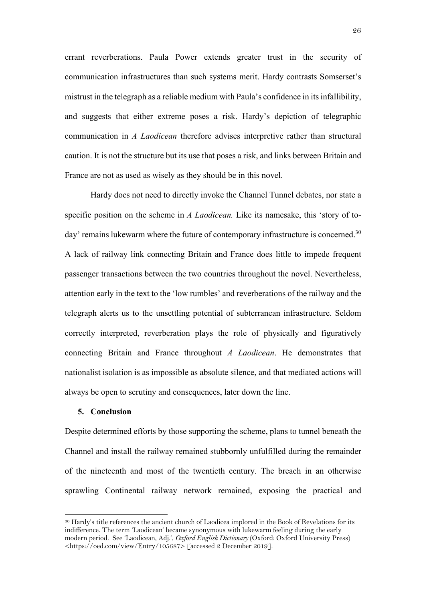errant reverberations. Paula Power extends greater trust in the security of communication infrastructures than such systems merit. Hardy contrasts Somserset's mistrust in the telegraph as a reliable medium with Paula's confidence in its infallibility, and suggests that either extreme poses a risk. Hardy's depiction of telegraphic communication in *A Laodicean* therefore advises interpretive rather than structural caution. It is not the structure but its use that poses a risk, and links between Britain and France are not as used as wisely as they should be in this novel.

Hardy does not need to directly invoke the Channel Tunnel debates, nor state a specific position on the scheme in *A Laodicean.* Like its namesake, this 'story of today' remains lukewarm where the future of contemporary infrastructure is concerned.<sup>30</sup> A lack of railway link connecting Britain and France does little to impede frequent passenger transactions between the two countries throughout the novel. Nevertheless, attention early in the text to the 'low rumbles' and reverberations of the railway and the telegraph alerts us to the unsettling potential of subterranean infrastructure. Seldom correctly interpreted, reverberation plays the role of physically and figuratively connecting Britain and France throughout *A Laodicean*. He demonstrates that nationalist isolation is as impossible as absolute silence, and that mediated actions will always be open to scrutiny and consequences, later down the line.

## **5. Conclusion**

Despite determined efforts by those supporting the scheme, plans to tunnel beneath the Channel and install the railway remained stubbornly unfulfilled during the remainder of the nineteenth and most of the twentieth century. The breach in an otherwise sprawling Continental railway network remained, exposing the practical and

<sup>30</sup> Hardy's title references the ancient church of Laodicea implored in the Book of Revelations for its indifference. The term 'Laodicean' became synonymous with lukewarm feeling during the early modern period. See 'Laodicean, Adj.', *Oxford English Dictionary* (Oxford: Oxford University Press) <https://oed.com/view/Entry/105687> [accessed 2 December 2019].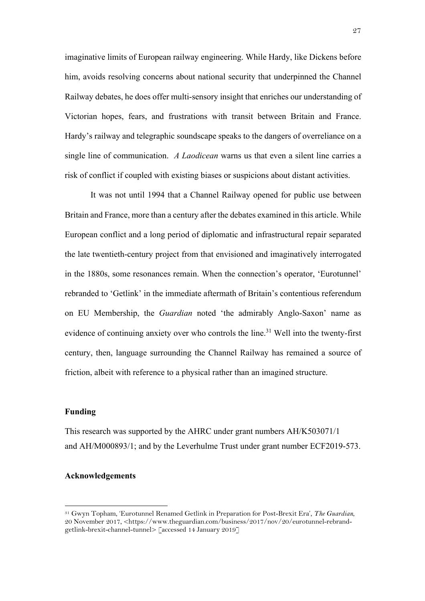imaginative limits of European railway engineering. While Hardy, like Dickens before him, avoids resolving concerns about national security that underpinned the Channel Railway debates, he does offer multi-sensory insight that enriches our understanding of Victorian hopes, fears, and frustrations with transit between Britain and France. Hardy's railway and telegraphic soundscape speaks to the dangers of overreliance on a single line of communication. *A Laodicean* warns us that even a silent line carries a risk of conflict if coupled with existing biases or suspicions about distant activities.

It was not until 1994 that a Channel Railway opened for public use between Britain and France, more than a century after the debates examined in this article. While European conflict and a long period of diplomatic and infrastructural repair separated the late twentieth-century project from that envisioned and imaginatively interrogated in the 1880s, some resonances remain. When the connection's operator, 'Eurotunnel' rebranded to 'Getlink' in the immediate aftermath of Britain's contentious referendum on EU Membership, the *Guardian* noted 'the admirably Anglo-Saxon' name as evidence of continuing anxiety over who controls the line.<sup>31</sup> Well into the twenty-first century, then, language surrounding the Channel Railway has remained a source of friction, albeit with reference to a physical rather than an imagined structure.

## **Funding**

This research was supported by the AHRC under grant numbers AH/K503071/1 and AH/M000893/1; and by the Leverhulme Trust under grant number ECF2019-573.

## **Acknowledgements**

<sup>31</sup> Gwyn Topham, 'Eurotunnel Renamed Getlink in Preparation for Post-Brexit Era', *The Guardian*, 20 November 2017, <https://www.theguardian.com/business/2017/nov/20/eurotunnel-rebrandgetlink-brexit-channel-tunnel> [accessed 14 January 2019]